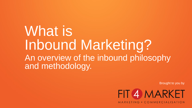# What is Inbound Marketing? An overview of the inbound philosophy and methodology.

Brought to you by

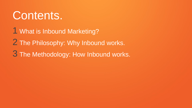# Contents.

1 What is Inbound Marketing?

2 The Philosophy: Why Inbound works.

3 The Methodology: How Inbound works.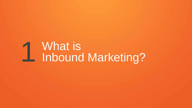# 1 What is<br>1 Inbound Marketing?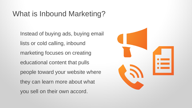### What is Inbound Marketing?

Instead of buying ads, buying email lists or cold calling, inbound marketing focuses on creating educational content that pulls people toward your website where they can learn more about what you sell on their own accord.

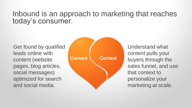#### Inbound is an approach to marketing that reaches today's consumer.

Get found by qualified leads online with content (website pages, blog articles, social messages) optimized for search and social media.



Understand what content pulls your buyers through the sales funnel, and use that context to personalize your marketing at scale.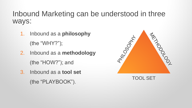#### Inbound Marketing can be understood in three ways:

- 1. Inbound as a **philosophy**  (the "WHY?");
- 2. Inbound as a **methodology**  (the "HOW?"); and
- 3. Inbound as a **tool set**  (the "PLAYBOOK").



TOOL SET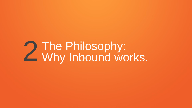# 2 The Philosophy:<br>2 Why Inbound works.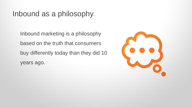#### Inbound as a philosophy.

Inbound marketing is a philosophy based on the truth that consumers buy differently today than they did 10 years ago.

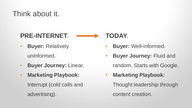## Think about it.

#### **PRE-INTERNET.**



- **Buyer:** Relatively uninformed.
- **Buyer Journey:** Linear.
- **Marketing Playbook:**  Interrupt (cold calls and advertising).

#### • **Buyer:** Well-informed.

- **Buyer Journey:** Fluid and random. Starts with Google.
- **Marketing Playbook:**

Thought leadership through content creation.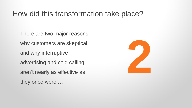#### How did this transformation take place?

There are two major reasons why customers are skeptical, and why interruptive advertising and cold calling aren't nearly as effective as they once were …

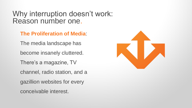#### Why interruption doesn't work: Reason number one.

**The Proliferation of Media**:

The media landscape has become insanely cluttered. There's a magazine, TV channel, radio station, and a gazillion websites for every conceivable interest.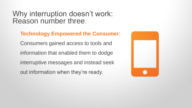Why interruption doesn't work: Reason number three.

#### **Technology Empowered the Consumer**:

Consumers gained access to tools and

information that enabled them to dodge

interruptive messages and instead seek

out information when they're ready.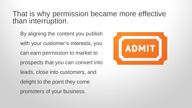#### That is why permission became more effective than interruption.

By aligning the content you publish with your customer's interests, you can earn permission to market to prospects that you can convert into leads, close into customers, and delight to the point they come promoters of your business.

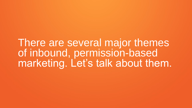There are several major themes of inbound, permission-based marketing. Let's talk about them.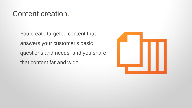#### Content creation.

You create targeted content that answers your customer's basic questions and needs, and you share that content far and wide.

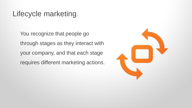### Lifecycle marketing.

You recognize that people go through stages as they interact with your company, and that each stage requires different marketing actions.

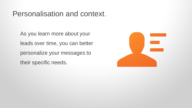#### Personalisation and context.

As you learn more about your leads over time, you can better personalize your messages to their specific needs.

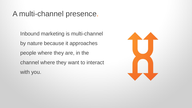#### A multi-channel presence.

Inbound marketing is multi-channel by nature because it approaches people where they are, in the channel where they want to interact with you.

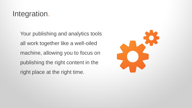### Integration.

Your publishing and analytics tools all work together like a well-oiled machine, allowing you to focus on publishing the right content in the right place at the right time.

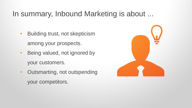#### In summary, Inbound Marketing is about ...

- Building trust, not skepticism among your prospects.
- Being valued, not ignored by your customers.
- Outsmarting, not outspending your competitors.

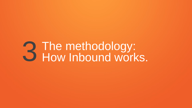# 3 The methodology:<br>3 How Inbound works.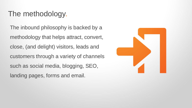#### The methodology.

The inbound philosophy is backed by a methodology that helps attract, convert, close, (and delight) visitors, leads and customers through a variety of channels such as social media, blogging, SEO, landing pages, forms and email.

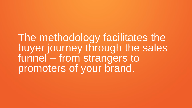The methodology facilitates the buyer journey through the sales funnel – from strangers to promoters of your brand.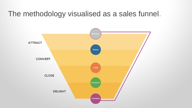#### The methodology visualised as a sales funnel.

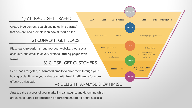#### 1) ATTRACT: GET TRAFFIC

Create **blog** content, search engine optimise (**SEO**) that content, and promote it on **social media** sites.

#### 2) CONVERT: GET LEADS

Place **calls-to-action** throughout your website, blog, social accounts, and email to drive visitors to **landing pages with forms**.

#### 3) CLOSE: GET CUSTOMERS

**SEO** 

**Blog** 

4) DELIGHT: ANALYSE & OPTIMISE Send leads **targeted, automated emails** to drive them through your buying cycle. Provide your sales team with **lead intelligence** for more effective sales calls.

**Visitors** Calls-to-Action Forms **Landing Page Optimization** Leads **Email Optimization Sales Alerts** CRM Synch # Personalized Email + Web + Social Lead Scoring Nurturina **Customers** Email + Web + Social **Feedback Forms** Engagement Promoters

itranger

**Sites** 

**Mobile Optimization** 

**Social Media** 

**Analyze** the success of your marketing campaigns, and determine which areas need further **optimization** or **personalization** for future success.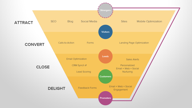